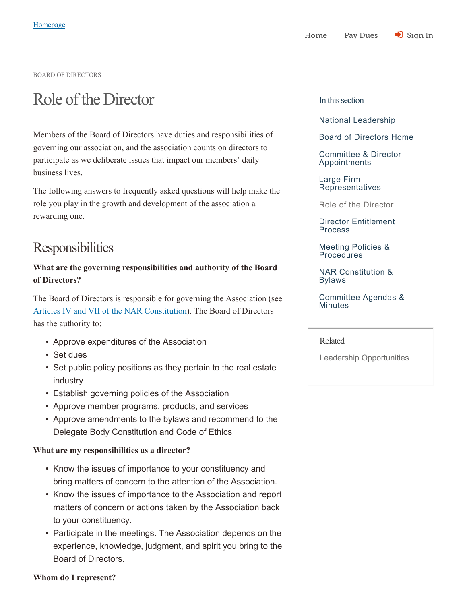BOARD OF DIRECTORS

# Role of the Director

Members of the Board of Directors have duties and responsibilities of governing our association, and the association counts on directors to participate as we deliberate issues that impact our members' daily business lives.

The following answers to frequently asked questions will help make the role you play in the growth and development of the association a rewarding one.

# **Responsibilities**

# **What are the governing responsibilities and authority of the Board of Directors?**

The Board of Directors is responsible for governing the Association (see Articles IV and VII of the NAR Constitution). The Board of Directors has the authority to:

- Approve expenditures of the Association
- Set dues
- Set public policy positions as they pertain to the real estate industry
- Establish governing policies of the Association
- Approve member programs, products, and services
- Approve amendments to the bylaws and recommend to the Delegate Body Constitution and Code of Ethics

#### **What are my responsibilities as a director?**

- Know the issues of importance to your constituency and bring matters of concern to the attention of the Association.
- Know the issues of importance to the Association and report matters of concern or actions taken by the Association back to your constituency.
- Participate in the meetings. The Association depends on the experience, knowledge, judgment, and spirit you bring to the Board of Directors.

#### In this section

National Leadership

Board of Directors Home

Committee & Director Appointments

Large Firm Representatives

Role of the Director

Director Entitlement Process

Meeting Policies & Procedures

NAR Constitution & Bylaws

Committee Agendas & **Minutes** 

Related

Leadership Opportunities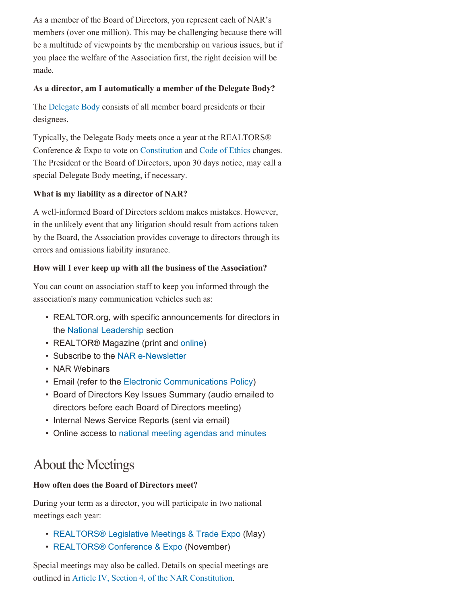As a member of the Board of Directors, you represent each of NAR's members (over one million). This may be challenging because there will be a multitude of viewpoints by the membership on various issues, but if you place the welfare of the Association first, the right decision will be made.

#### **As a director, am I automatically a member of the Delegate Body?**

The Delegate Body consists of all member board presidents or their designees.

Typically, the Delegate Body meets once a year at the REALTORS® Conference & Expo to vote on Constitution and Code of Ethics changes. The President or the Board of Directors, upon 30 days notice, may call a special Delegate Body meeting, if necessary.

#### **What is my liability as a director of NAR?**

A well-informed Board of Directors seldom makes mistakes. However, in the unlikely event that any litigation should result from actions taken by the Board, the Association provides coverage to directors through its errors and omissions liability insurance.

#### **How will I ever keep up with all the business of the Association?**

You can count on association staff to keep you informed through the association's many communication vehicles such as:

- REALTOR.org, with specific announcements for directors in the National Leadership section
- REALTOR® Magazine (print and online)
- Subscribe to the NAR e-Newsletter
- NAR Webinars
- Email (refer to the Electronic Communications Policy)
- Board of Directors Key Issues Summary (audio emailed to directors before each Board of Directors meeting)
- Internal News Service Reports (sent via email)
- Online access to national meeting agendas and minutes

# About the Meetings

## **How often does the Board of Directors meet?**

During your term as a director, you will participate in two national meetings each year:

- REALTORS® Legislative Meetings & Trade Expo (May)
- REALTORS® Conference & Expo (November)

Special meetings may also be called. Details on special meetings are outlined in Article IV, Section 4, of the NAR Constitution.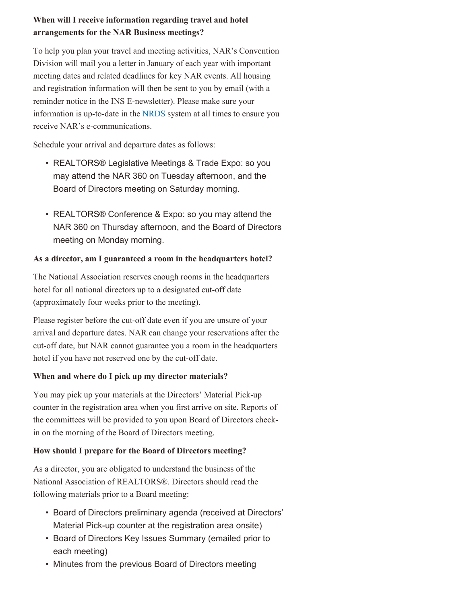# **When will I receive information regarding travel and hotel arrangements for the NAR Business meetings?**

To help you plan your travel and meeting activities, NAR's Convention Division will mail you a letter in January of each year with important meeting dates and related deadlines for key NAR events. All housing and registration information will then be sent to you by email (with a reminder notice in the INS E-newsletter). Please make sure your information is up-to-date in the NRDS system at all times to ensure you receive NAR's e-communications.

Schedule your arrival and departure dates as follows:

- REALTORS® Legislative Meetings & Trade Expo: so you may attend the NAR 360 on Tuesday afternoon, and the Board of Directors meeting on Saturday morning.
- REALTORS® Conference & Expo: so you may attend the NAR 360 on Thursday afternoon, and the Board of Directors meeting on Monday morning.

#### **As a director, am I guaranteed a room in the headquarters hotel?**

The National Association reserves enough rooms in the headquarters hotel for all national directors up to a designated cut-off date (approximately four weeks prior to the meeting).

Please register before the cut-off date even if you are unsure of your arrival and departure dates. NAR can change your reservations after the cut-off date, but NAR cannot guarantee you a room in the headquarters hotel if you have not reserved one by the cut-off date.

#### **When and where do I pick up my director materials?**

You may pick up your materials at the Directors' Material Pick-up counter in the registration area when you first arrive on site. Reports of the committees will be provided to you upon Board of Directors checkin on the morning of the Board of Directors meeting.

## **How should I prepare for the Board of Directors meeting?**

As a director, you are obligated to understand the business of the National Association of REALTORS®. Directors should read the following materials prior to a Board meeting:

- Board of Directors preliminary agenda (received at Directors' Material Pick-up counter at the registration area onsite)
- Board of Directors Key Issues Summary (emailed prior to each meeting)
- Minutes from the previous Board of Directors meeting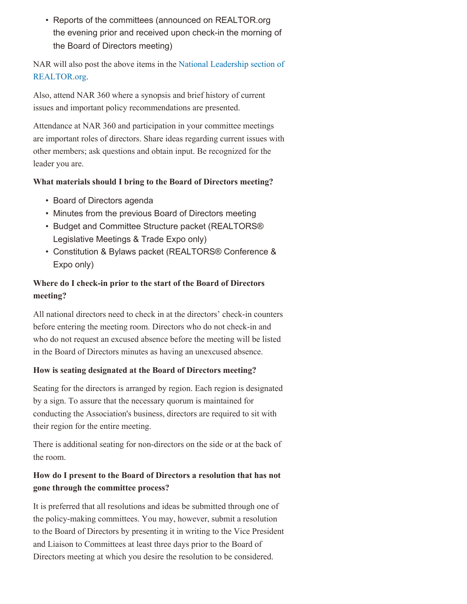• Reports of the committees (announced on REALTOR.org the evening prior and received upon check-in the morning of the Board of Directors meeting)

NAR will also post the above items in the National Leadership section of REALTOR.org.

Also, attend NAR 360 where a synopsis and brief history of current issues and important policy recommendations are presented.

Attendance at NAR 360 and participation in your committee meetings are important roles of directors. Share ideas regarding current issues with other members; ask questions and obtain input. Be recognized for the leader you are.

#### **What materials should I bring to the Board of Directors meeting?**

- Board of Directors agenda
- Minutes from the previous Board of Directors meeting
- Budget and Committee Structure packet (REALTORS® Legislative Meetings & Trade Expo only)
- Constitution & Bylaws packet (REALTORS® Conference & Expo only)

# **Where do I check-in prior to the start of the Board of Directors meeting?**

All national directors need to check in at the directors' check-in counters before entering the meeting room. Directors who do not check-in and who do not request an excused absence before the meeting will be listed in the Board of Directors minutes as having an unexcused absence.

#### **How is seating designated at the Board of Directors meeting?**

Seating for the directors is arranged by region. Each region is designated by a sign. To assure that the necessary quorum is maintained for conducting the Association's business, directors are required to sit with their region for the entire meeting.

There is additional seating for non-directors on the side or at the back of the room.

# **How do I present to the Board of Directors a resolution that has not gone through the committee process?**

It is preferred that all resolutions and ideas be submitted through one of the policy-making committees. You may, however, submit a resolution to the Board of Directors by presenting it in writing to the Vice President and Liaison to Committees at least three days prior to the Board of Directors meeting at which you desire the resolution to be considered.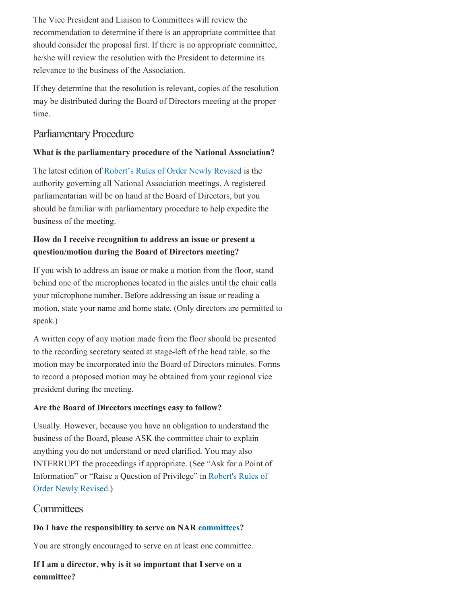The Vice President and Liaison to Committees will review the recommendation to determine if there is an appropriate committee that should consider the proposal first. If there is no appropriate committee, he/she will review the resolution with the President to determine its relevance to the business of the Association.

If they determine that the resolution is relevant, copies of the resolution may be distributed during the Board of Directors meeting at the proper time.

# Parliamentary Procedure

#### **What is the parliamentary procedure of the National Association?**

The latest edition of Robert's Rules of Order Newly Revised is the authority governing all National Association meetings. A registered parliamentarian will be on hand at the Board of Directors, but you should be familiar with parliamentary procedure to help expedite the business of the meeting.

# **How do I receive recognition to address an issue or present a question/motion during the Board of Directors meeting?**

If you wish to address an issue or make a motion from the floor, stand behind one of the microphones located in the aisles until the chair calls your microphone number. Before addressing an issue or reading a motion, state your name and home state. (Only directors are permitted to speak.)

A written copy of any motion made from the floor should be presented to the recording secretary seated at stage-left of the head table, so the motion may be incorporated into the Board of Directors minutes. Forms to record a proposed motion may be obtained from your regional vice president during the meeting.

#### **Are the Board of Directors meetings easy to follow?**

Usually. However, because you have an obligation to understand the business of the Board, please ASK the committee chair to explain anything you do not understand or need clarified. You may also INTERRUPT the proceedings if appropriate. (See "Ask for a Point of Information" or "Raise a Question of Privilege" in Robert's Rules of Order Newly Revised.)

## **Committees**

#### **Do I have the responsibility to serve on NAR committees?**

You are strongly encouraged to serve on at least one committee.

**If I am a director, why is it so important that I serve on a committee?**